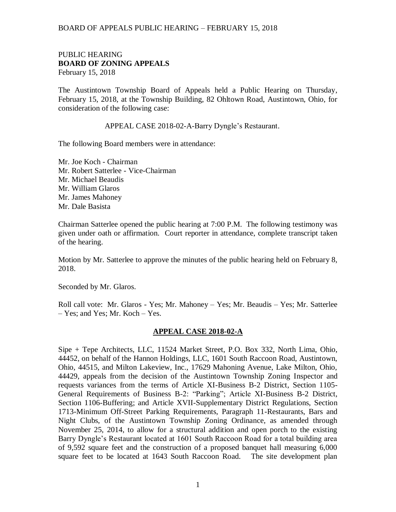#### PUBLIC HEARING **BOARD OF ZONING APPEALS**  February 15, 2018

The Austintown Township Board of Appeals held a Public Hearing on Thursday, February 15, 2018, at the Township Building, 82 Ohltown Road, Austintown, Ohio, for consideration of the following case:

APPEAL CASE 2018-02-A-Barry Dyngle's Restaurant.

The following Board members were in attendance:

Mr. Joe Koch - Chairman Mr. Robert Satterlee - Vice-Chairman Mr. Michael Beaudis Mr. William Glaros Mr. James Mahoney Mr. Dale Basista

Chairman Satterlee opened the public hearing at 7:00 P.M. The following testimony was given under oath or affirmation. Court reporter in attendance, complete transcript taken of the hearing.

Motion by Mr. Satterlee to approve the minutes of the public hearing held on February 8, 2018.

Seconded by Mr. Glaros.

Roll call vote: Mr. Glaros - Yes; Mr. Mahoney – Yes; Mr. Beaudis – Yes; Mr. Satterlee – Yes; and Yes; Mr. Koch – Yes.

#### **APPEAL CASE 2018-02-A**

Sipe + Tepe Architects, LLC, 11524 Market Street, P.O. Box 332, North Lima, Ohio, 44452, on behalf of the Hannon Holdings, LLC, 1601 South Raccoon Road, Austintown, Ohio, 44515, and Milton Lakeview, Inc., 17629 Mahoning Avenue, Lake Milton, Ohio, 44429, appeals from the decision of the Austintown Township Zoning Inspector and requests variances from the terms of Article XI-Business B-2 District, Section 1105- General Requirements of Business B-2: "Parking"; Article XI-Business B-2 District, Section 1106-Buffering; and Article XVII-Supplementary District Regulations, Section 1713-Minimum Off-Street Parking Requirements, Paragraph 11-Restaurants, Bars and Night Clubs, of the Austintown Township Zoning Ordinance, as amended through November 25, 2014, to allow for a structural addition and open porch to the existing Barry Dyngle's Restaurant located at 1601 South Raccoon Road for a total building area of 9,592 square feet and the construction of a proposed banquet hall measuring 6,000 square feet to be located at 1643 South Raccoon Road. The site development plan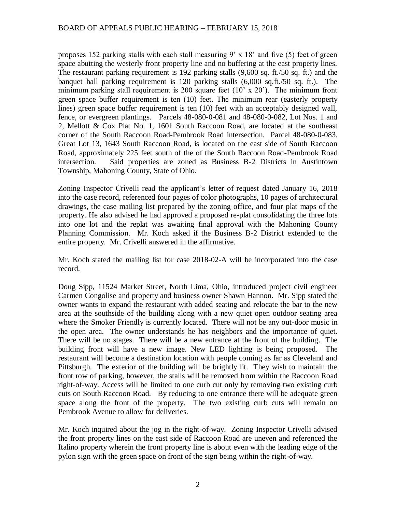proposes 152 parking stalls with each stall measuring 9' x 18' and five (5) feet of green space abutting the westerly front property line and no buffering at the east property lines. The restaurant parking requirement is 192 parking stalls (9,600 sq. ft./50 sq. ft.) and the banquet hall parking requirement is 120 parking stalls (6,000 sq.ft./50 sq. ft.). The minimum parking stall requirement is 200 square feet (10' x 20'). The minimum front green space buffer requirement is ten (10) feet. The minimum rear (easterly property lines) green space buffer requirement is ten (10) feet with an acceptably designed wall, fence, or evergreen plantings. Parcels 48-080-0-081 and 48-080-0-082, Lot Nos. 1 and 2, Mellott & Cox Plat No. 1, 1601 South Raccoon Road, are located at the southeast corner of the South Raccoon Road-Pembrook Road intersection. Parcel 48-080-0-083, Great Lot 13, 1643 South Raccoon Road, is located on the east side of South Raccoon Road, approximately 225 feet south of the of the South Raccoon Road-Pembrook Road intersection. Said properties are zoned as Business B-2 Districts in Austintown Township, Mahoning County, State of Ohio.

Zoning Inspector Crivelli read the applicant's letter of request dated January 16, 2018 into the case record, referenced four pages of color photographs, 10 pages of architectural drawings, the case mailing list prepared by the zoning office, and four plat maps of the property. He also advised he had approved a proposed re-plat consolidating the three lots into one lot and the replat was awaiting final approval with the Mahoning County Planning Commission. Mr. Koch asked if the Business B-2 District extended to the entire property. Mr. Crivelli answered in the affirmative.

Mr. Koch stated the mailing list for case 2018-02-A will be incorporated into the case record.

Doug Sipp, 11524 Market Street, North Lima, Ohio, introduced project civil engineer Carmen Congolise and property and business owner Shawn Hannon. Mr. Sipp stated the owner wants to expand the restaurant with added seating and relocate the bar to the new area at the southside of the building along with a new quiet open outdoor seating area where the Smoker Friendly is currently located. There will not be any out-door music in the open area. The owner understands he has neighbors and the importance of quiet. There will be no stages. There will be a new entrance at the front of the building. The building front will have a new image. New LED lighting is being proposed. The restaurant will become a destination location with people coming as far as Cleveland and Pittsburgh. The exterior of the building will be brightly lit. They wish to maintain the front row of parking, however, the stalls will be removed from within the Raccoon Road right-of-way. Access will be limited to one curb cut only by removing two existing curb cuts on South Raccoon Road. By reducing to one entrance there will be adequate green space along the front of the property. The two existing curb cuts will remain on Pembrook Avenue to allow for deliveries.

Mr. Koch inquired about the jog in the right-of-way. Zoning Inspector Crivelli advised the front property lines on the east side of Raccoon Road are uneven and referenced the Italino property wherein the front property line is about even with the leading edge of the pylon sign with the green space on front of the sign being within the right-of-way.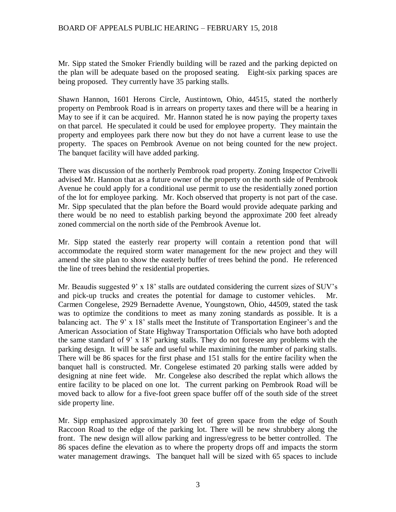Mr. Sipp stated the Smoker Friendly building will be razed and the parking depicted on the plan will be adequate based on the proposed seating. Eight-six parking spaces are being proposed. They currently have 35 parking stalls.

Shawn Hannon, 1601 Herons Circle, Austintown, Ohio, 44515, stated the northerly property on Pembrook Road is in arrears on property taxes and there will be a hearing in May to see if it can be acquired. Mr. Hannon stated he is now paying the property taxes on that parcel. He speculated it could be used for employee property. They maintain the property and employees park there now but they do not have a current lease to use the property. The spaces on Pembrook Avenue on not being counted for the new project. The banquet facility will have added parking.

There was discussion of the northerly Pembrook road property. Zoning Inspector Crivelli advised Mr. Hannon that as a future owner of the property on the north side of Pembrook Avenue he could apply for a conditional use permit to use the residentially zoned portion of the lot for employee parking. Mr. Koch observed that property is not part of the case. Mr. Sipp speculated that the plan before the Board would provide adequate parking and there would be no need to establish parking beyond the approximate 200 feet already zoned commercial on the north side of the Pembrook Avenue lot.

Mr. Sipp stated the easterly rear property will contain a retention pond that will accommodate the required storm water management for the new project and they will amend the site plan to show the easterly buffer of trees behind the pond. He referenced the line of trees behind the residential properties.

Mr. Beaudis suggested 9' x 18' stalls are outdated considering the current sizes of SUV's and pick-up trucks and creates the potential for damage to customer vehicles. Mr. Carmen Congelese, 2929 Bernadette Avenue, Youngstown, Ohio, 44509, stated the task was to optimize the conditions to meet as many zoning standards as possible. It is a balancing act. The 9' x 18' stalls meet the Institute of Transportation Engineer's and the American Association of State Highway Transportation Officials who have both adopted the same standard of 9' x 18' parking stalls. They do not foresee any problems with the parking design. It will be safe and useful while maximining the number of parking stalls. There will be 86 spaces for the first phase and 151 stalls for the entire facility when the banquet hall is constructed. Mr. Congelese estimated 20 parking stalls were added by designing at nine feet wide. Mr. Congelese also described the replat which allows the entire facility to be placed on one lot. The current parking on Pembrook Road will be moved back to allow for a five-foot green space buffer off of the south side of the street side property line.

Mr. Sipp emphasized approximately 30 feet of green space from the edge of South Raccoon Road to the edge of the parking lot. There will be new shrubbery along the front. The new design will allow parking and ingress/egress to be better controlled. The 86 spaces define the elevation as to where the property drops off and impacts the storm water management drawings. The banquet hall will be sized with 65 spaces to include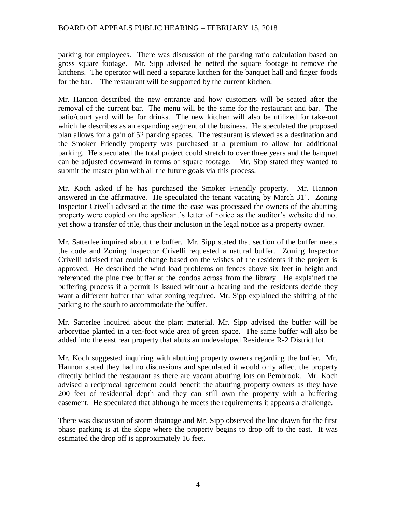parking for employees. There was discussion of the parking ratio calculation based on gross square footage. Mr. Sipp advised he netted the square footage to remove the kitchens. The operator will need a separate kitchen for the banquet hall and finger foods for the bar. The restaurant will be supported by the current kitchen.

Mr. Hannon described the new entrance and how customers will be seated after the removal of the current bar. The menu will be the same for the restaurant and bar. The patio/court yard will be for drinks. The new kitchen will also be utilized for take-out which he describes as an expanding segment of the business. He speculated the proposed plan allows for a gain of 52 parking spaces. The restaurant is viewed as a destination and the Smoker Friendly property was purchased at a premium to allow for additional parking. He speculated the total project could stretch to over three years and the banquet can be adjusted downward in terms of square footage. Mr. Sipp stated they wanted to submit the master plan with all the future goals via this process.

Mr. Koch asked if he has purchased the Smoker Friendly property. Mr. Hannon answered in the affirmative. He speculated the tenant vacating by March  $31<sup>st</sup>$ . Zoning Inspector Crivelli advised at the time the case was processed the owners of the abutting property were copied on the applicant's letter of notice as the auditor's website did not yet show a transfer of title, thus their inclusion in the legal notice as a property owner.

Mr. Satterlee inquired about the buffer. Mr. Sipp stated that section of the buffer meets the code and Zoning Inspector Crivelli requested a natural buffer. Zoning Inspector Crivelli advised that could change based on the wishes of the residents if the project is approved. He described the wind load problems on fences above six feet in height and referenced the pine tree buffer at the condos across from the library. He explained the buffering process if a permit is issued without a hearing and the residents decide they want a different buffer than what zoning required. Mr. Sipp explained the shifting of the parking to the south to accommodate the buffer.

Mr. Satterlee inquired about the plant material. Mr. Sipp advised the buffer will be arborvitae planted in a ten-foot wide area of green space. The same buffer will also be added into the east rear property that abuts an undeveloped Residence R-2 District lot.

Mr. Koch suggested inquiring with abutting property owners regarding the buffer. Mr. Hannon stated they had no discussions and speculated it would only affect the property directly behind the restaurant as there are vacant abutting lots on Pembrook. Mr. Koch advised a reciprocal agreement could benefit the abutting property owners as they have 200 feet of residential depth and they can still own the property with a buffering easement. He speculated that although he meets the requirements it appears a challenge.

There was discussion of storm drainage and Mr. Sipp observed the line drawn for the first phase parking is at the slope where the property begins to drop off to the east. It was estimated the drop off is approximately 16 feet.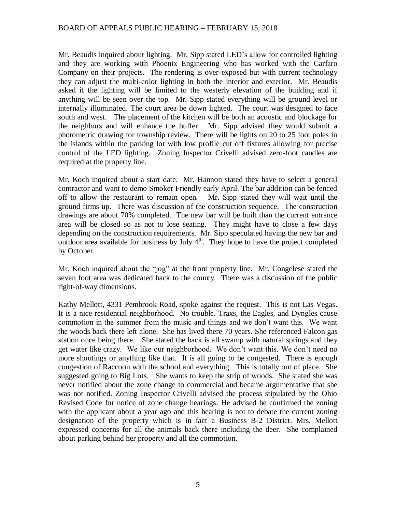Mr. Beaudis inquired about lighting. Mr. Sipp stated LED's allow for controlled lighting and they are working with Phoenix Engineering who has worked with the Carfaro Company on their projects. The rendering is over-exposed but with current technology they can adjust the multi-color lighting in both the interior and exterior. Mr. Beaudis asked if the lighting will be limited to the westerly elevation of the building and if anything will be seen over the top. Mr. Sipp stated everything will be ground level or internally illuminated. The court area be down lighted. The court was designed to face south and west. The placement of the kitchen will be both an acoustic and blockage for the neighbors and will enhance the buffer. Mr. Sipp advised they would submit a photometric drawing for township review. There will be lights on 20 to 25 foot poles in the islands within the parking lot with low profile cut off fixtures allowing for precise control of the LED lighting. Zoning Inspector Crivelli advised zero-foot candles are required at the property line.

Mr. Koch inquired about a start date. Mr. Hannon stated they have to select a general contractor and want to demo Smoker Friendly early April. The bar addition can be fenced off to allow the restaurant to remain open. Mr. Sipp stated they will wait until the ground firms up. There was discussion of the construction sequence. The construction drawings are about 70% completed. The new bar will be built than the current entrance area will be closed so as not to lose seating. They might have to close a few days depending on the construction requirements. Mr. Sipp speculated having the new bar and outdoor area available for business by July  $4<sup>th</sup>$ . They hope to have the project completed by October.

Mr. Koch inquired about the "jog" at the front property line. Mr. Congelese stated the seven foot area was dedicated back to the county. There was a discussion of the public right-of-way dimensions.

Kathy Mellott, 4331 Pembrook Road, spoke against the request. This is not Las Vegas. It is a nice residential neighborhood. No trouble. Traxs, the Eagles, and Dyngles cause commotion in the summer from the music and things and we don't want this. We want the woods back there left alone. She has lived there 70 years. She referenced Falcon gas station once being there. She stated the back is all swamp with natural springs and they get water like crazy. We like our neighborhood. We don't want this. We don't need no more shootings or anything like that. It is all going to be congested. There is enough congestion of Raccoon with the school and everything. This is totally out of place. She suggested going to Big Lots. She wants to keep the strip of woods. She stated she was never notified about the zone change to commercial and became argumentative that she was not notified. Zoning Inspector Crivelli advised the process stipulated by the Ohio Revised Code for notice of zone change hearings. He advised he confirmed the zoning with the applicant about a year ago and this hearing is not to debate the current zoning designation of the property which is in fact a Business B-2 District. Mrs. Mellott expressed concerns for all the animals back there including the deer. She complained about parking behind her property and all the commotion.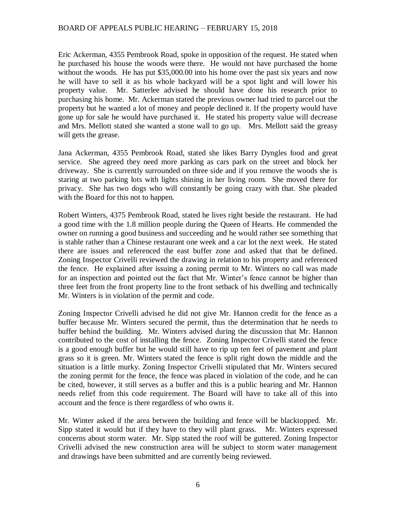Eric Ackerman, 4355 Pembrook Road, spoke in opposition of the request. He stated when he purchased his house the woods were there. He would not have purchased the home without the woods. He has put \$35,000.00 into his home over the past six years and now he will have to sell it as his whole backyard will be a spot light and will lower his property value. Mr. Satterlee advised he should have done his research prior to purchasing his home. Mr. Ackerman stated the previous owner had tried to parcel out the property but he wanted a lot of money and people declined it. If the property would have gone up for sale he would have purchased it. He stated his property value will decrease and Mrs. Mellott stated she wanted a stone wall to go up. Mrs. Mellott said the greasy will gets the grease.

Jana Ackerman, 4355 Pembrook Road, stated she likes Barry Dyngles food and great service. She agreed they need more parking as cars park on the street and block her driveway. She is currently surrounded on three side and if you remove the woods she is staring at two parking lots with lights shining in her living room. She moved there for privacy. She has two dogs who will constantly be going crazy with that. She pleaded with the Board for this not to happen.

Robert Winters, 4375 Pembrook Road, stated he lives right beside the restaurant. He had a good time with the 1.8 million people during the Queen of Hearts. He commended the owner on running a good business and succeeding and he would rather see something that is stable rather than a Chinese restaurant one week and a car lot the next week. He stated there are issues and referenced the east buffer zone and asked that that be defined. Zoning Inspector Crivelli reviewed the drawing in relation to his property and referenced the fence. He explained after issuing a zoning permit to Mr. Winters no call was made for an inspection and pointed out the fact that Mr. Winter's fence cannot be higher than three feet from the front property line to the front setback of his dwelling and technically Mr. Winters is in violation of the permit and code.

Zoning Inspector Crivelli advised he did not give Mr. Hannon credit for the fence as a buffer because Mr. Winters secured the permit, thus the determination that he needs to buffer behind the building. Mr. Winters advised during the discussion that Mr. Hannon contributed to the cost of installing the fence. Zoning Inspector Crivelli stated the fence is a good enough buffer but he would still have to rip up ten feet of pavement and plant grass so it is green. Mr. Winters stated the fence is split right down the middle and the situation is a little murky. Zoning Inspector Crivelli stipulated that Mr. Winters secured the zoning permit for the fence, the fence was placed in violation of the code, and he can be cited, however, it still serves as a buffer and this is a public hearing and Mr. Hannon needs relief from this code requirement. The Board will have to take all of this into account and the fence is there regardless of who owns it.

Mr. Winter asked if the area between the building and fence will be blacktopped. Mr. Sipp stated it would but if they have to they will plant grass. Mr. Winters expressed concerns about storm water. Mr. Sipp stated the roof will be guttered. Zoning Inspector Crivelli advised the new construction area will be subject to storm water management and drawings have been submitted and are currently being reviewed.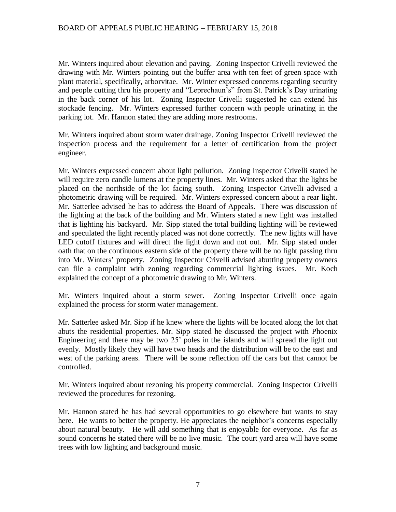Mr. Winters inquired about elevation and paving. Zoning Inspector Crivelli reviewed the drawing with Mr. Winters pointing out the buffer area with ten feet of green space with plant material, specifically, arborvitae. Mr. Winter expressed concerns regarding security and people cutting thru his property and "Leprechaun's" from St. Patrick's Day urinating in the back corner of his lot. Zoning Inspector Crivelli suggested he can extend his stockade fencing. Mr. Winters expressed further concern with people urinating in the parking lot. Mr. Hannon stated they are adding more restrooms.

Mr. Winters inquired about storm water drainage. Zoning Inspector Crivelli reviewed the inspection process and the requirement for a letter of certification from the project engineer.

Mr. Winters expressed concern about light pollution. Zoning Inspector Crivelli stated he will require zero candle lumens at the property lines. Mr. Winters asked that the lights be placed on the northside of the lot facing south. Zoning Inspector Crivelli advised a photometric drawing will be required. Mr. Winters expressed concern about a rear light. Mr. Satterlee advised he has to address the Board of Appeals. There was discussion of the lighting at the back of the building and Mr. Winters stated a new light was installed that is lighting his backyard. Mr. Sipp stated the total building lighting will be reviewed and speculated the light recently placed was not done correctly. The new lights will have LED cutoff fixtures and will direct the light down and not out. Mr. Sipp stated under oath that on the continuous eastern side of the property there will be no light passing thru into Mr. Winters' property. Zoning Inspector Crivelli advised abutting property owners can file a complaint with zoning regarding commercial lighting issues. Mr. Koch explained the concept of a photometric drawing to Mr. Winters.

Mr. Winters inquired about a storm sewer. Zoning Inspector Crivelli once again explained the process for storm water management.

Mr. Satterlee asked Mr. Sipp if he knew where the lights will be located along the lot that abuts the residential properties. Mr. Sipp stated he discussed the project with Phoenix Engineering and there may be two 25' poles in the islands and will spread the light out evenly. Mostly likely they will have two heads and the distribution will be to the east and west of the parking areas. There will be some reflection off the cars but that cannot be controlled.

Mr. Winters inquired about rezoning his property commercial. Zoning Inspector Crivelli reviewed the procedures for rezoning.

Mr. Hannon stated he has had several opportunities to go elsewhere but wants to stay here. He wants to better the property. He appreciates the neighbor's concerns especially about natural beauty. He will add something that is enjoyable for everyone. As far as sound concerns he stated there will be no live music. The court yard area will have some trees with low lighting and background music.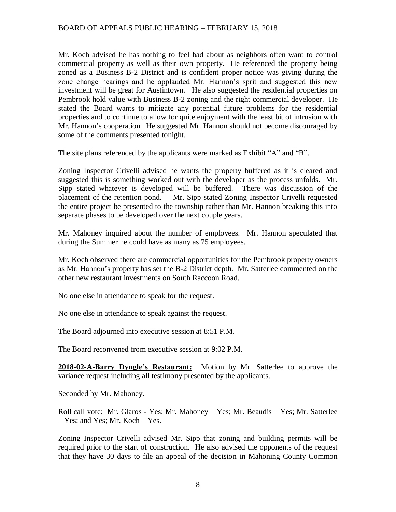Mr. Koch advised he has nothing to feel bad about as neighbors often want to control commercial property as well as their own property. He referenced the property being zoned as a Business B-2 District and is confident proper notice was giving during the zone change hearings and he applauded Mr. Hannon's sprit and suggested this new investment will be great for Austintown. He also suggested the residential properties on Pembrook hold value with Business B-2 zoning and the right commercial developer. He stated the Board wants to mitigate any potential future problems for the residential properties and to continue to allow for quite enjoyment with the least bit of intrusion with Mr. Hannon's cooperation. He suggested Mr. Hannon should not become discouraged by some of the comments presented tonight.

The site plans referenced by the applicants were marked as Exhibit "A" and "B".

Zoning Inspector Crivelli advised he wants the property buffered as it is cleared and suggested this is something worked out with the developer as the process unfolds. Mr. Sipp stated whatever is developed will be buffered. There was discussion of the placement of the retention pond. Mr. Sipp stated Zoning Inspector Crivelli requested the entire project be presented to the township rather than Mr. Hannon breaking this into separate phases to be developed over the next couple years.

Mr. Mahoney inquired about the number of employees. Mr. Hannon speculated that during the Summer he could have as many as 75 employees.

Mr. Koch observed there are commercial opportunities for the Pembrook property owners as Mr. Hannon's property has set the B-2 District depth. Mr. Satterlee commented on the other new restaurant investments on South Raccoon Road.

No one else in attendance to speak for the request.

No one else in attendance to speak against the request.

The Board adjourned into executive session at 8:51 P.M.

The Board reconvened from executive session at 9:02 P.M.

**2018-02-A-Barry Dyngle's Restaurant:** Motion by Mr. Satterlee to approve the variance request including all testimony presented by the applicants.

Seconded by Mr. Mahoney.

Roll call vote: Mr. Glaros - Yes; Mr. Mahoney – Yes; Mr. Beaudis – Yes; Mr. Satterlee – Yes; and Yes; Mr. Koch – Yes.

Zoning Inspector Crivelli advised Mr. Sipp that zoning and building permits will be required prior to the start of construction. He also advised the opponents of the request that they have 30 days to file an appeal of the decision in Mahoning County Common